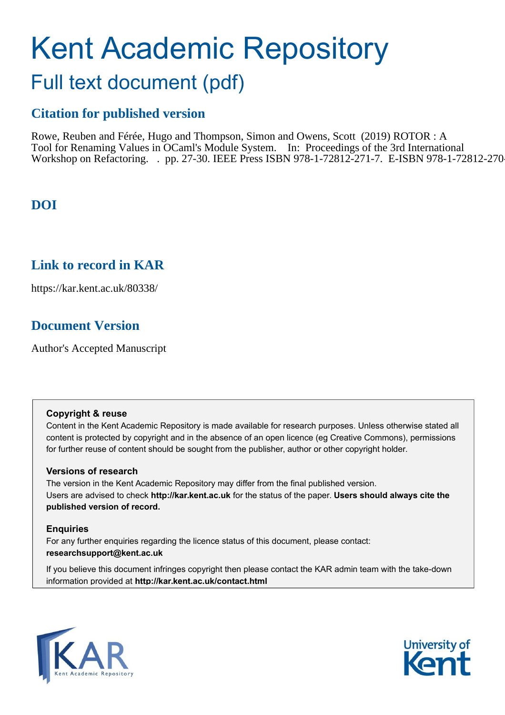# Kent Academic Repository

# Full text document (pdf)

# **Citation for published version**

Rowe, Reuben and Férée, Hugo and Thompson, Simon and Owens, Scott (2019) ROTOR : A Tool for Renaming Values in OCaml's Module System. In: Proceedings of the 3rd International Workshop on Refactoring. . pp. 27-30. IEEE Press ISBN 978-1-72812-271-7. E-ISBN 978-1-72812-270

# **DOI**

### **Link to record in KAR**

https://kar.kent.ac.uk/80338/

# **Document Version**

Author's Accepted Manuscript

#### **Copyright & reuse**

Content in the Kent Academic Repository is made available for research purposes. Unless otherwise stated all content is protected by copyright and in the absence of an open licence (eg Creative Commons), permissions for further reuse of content should be sought from the publisher, author or other copyright holder.

#### **Versions of research**

The version in the Kent Academic Repository may differ from the final published version. Users are advised to check **http://kar.kent.ac.uk** for the status of the paper. **Users should always cite the published version of record.**

#### **Enquiries**

For any further enquiries regarding the licence status of this document, please contact: **researchsupport@kent.ac.uk**

If you believe this document infringes copyright then please contact the KAR admin team with the take-down information provided at **http://kar.kent.ac.uk/contact.html**



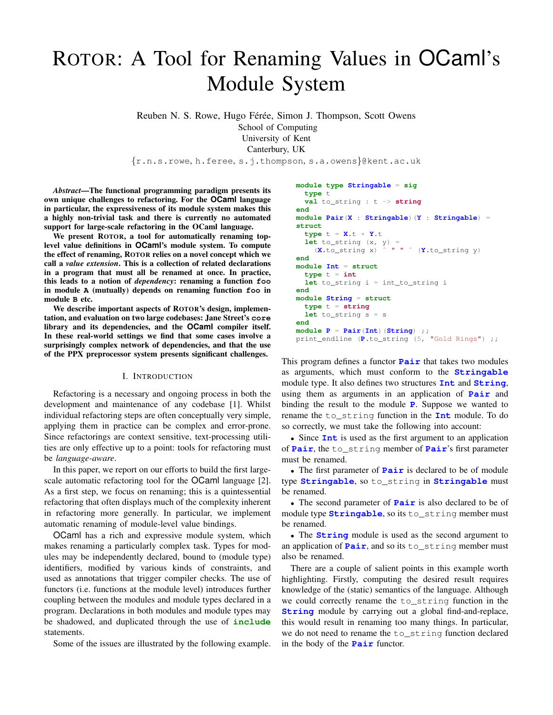# ROTOR: A Tool for Renaming Values in OCaml's Module System

Reuben N. S. Rowe, Hugo Férée, Simon J. Thompson, Scott Owens School of Computing University of Kent Canterbury, UK

{r.n.s.rowe, h.feree, s.j.thompson, s.a.owens}@kent.ac.uk

*Abstract*—The functional programming paradigm presents its own unique challenges to refactoring. For the **OCaml** language in particular, the expressiveness of its module system makes this a highly non-trivial task and there is currently no automated support for large-scale refactoring in the OCaml language.

We present ROTOR, a tool for automatically renaming toplevel value definitions in **OCaml**'s module system. To compute the effect of renaming, ROTOR relies on a novel concept which we call a *value extension*. This is a collection of related declarations in a program that must all be renamed at once. In practice, this leads to a notion of *dependency*: renaming a function **foo** in module **A** (mutually) depends on renaming function **foo** in module **B** etc.

We describe important aspects of ROTOR's design, implementation, and evaluation on two large codebases: Jane Street's **core** library and its dependencies, and the **OCaml** compiler itself. In these real-world settings we find that some cases involve a surprisingly complex network of dependencies, and that the use of the PPX preprocessor system presents significant challenges.

#### I. INTRODUCTION

Refactoring is a necessary and ongoing process in both the development and maintenance of any codebase [1]. Whilst individual refactoring steps are often conceptually very simple, applying them in practice can be complex and error-prone. Since refactorings are context sensitive, text-processing utilities are only effective up to a point: tools for refactoring must be *language-aware*.

In this paper, we report on our efforts to build the first largescale automatic refactoring tool for the OCaml language [2]. As a first step, we focus on renaming; this is a quintessential refactoring that often displays much of the complexity inherent in refactoring more generally. In particular, we implement automatic renaming of module-level value bindings.

OCaml has a rich and expressive module system, which makes renaming a particularly complex task. Types for modules may be independently declared, bound to (module type) identifiers, modified by various kinds of constraints, and used as annotations that trigger compiler checks. The use of functors (i.e. functions at the module level) introduces further coupling between the modules and module types declared in a program. Declarations in both modules and module types may be shadowed, and duplicated through the use of **include** statements.

Some of the issues are illustrated by the following example.

```
module type Stringable = sig
  type t
  val to_string : t -> string
end
module Pair(X : Stringable)(Y : Stringable) =
struct
  type t = X.t * Y.t
  let to_string (x, y) =(X.to_string x) ˆ " " ˆ (Y.to_string y)
end
module Int = struct
  type t = intlet to_string i = int_to_string i
end
module String = struct
  type t = string
  let to_string s = s
end
module P = Pair(Int)(String) ;;
print_endline (P.to_string (5, "Gold Rings") ;;
```
This program defines a functor **Pair** that takes two modules as arguments, which must conform to the **Stringable** module type. It also defines two structures **Int** and **String**, using them as arguments in an application of **Pair** and binding the result to the module **P**. Suppose we wanted to rename the to\_string function in the **Int** module. To do so correctly, we must take the following into account:

• Since **Int** is used as the first argument to an application of **Pair**, the to\_string member of **Pair**'s first parameter must be renamed.

• The first parameter of **Pair** is declared to be of module type **Stringable**, so to\_string in **Stringable** must be renamed.

• The second parameter of **Pair** is also declared to be of module type **Stringable**, so its to\_string member must be renamed.

• The **String** module is used as the second argument to an application of **Pair**, and so its to\_string member must also be renamed.

There are a couple of salient points in this example worth highlighting. Firstly, computing the desired result requires knowledge of the (static) semantics of the language. Although we could correctly rename the to\_string function in the **String** module by carrying out a global find-and-replace, this would result in renaming too many things. In particular, we do not need to rename the to\_string function declared in the body of the **Pair** functor.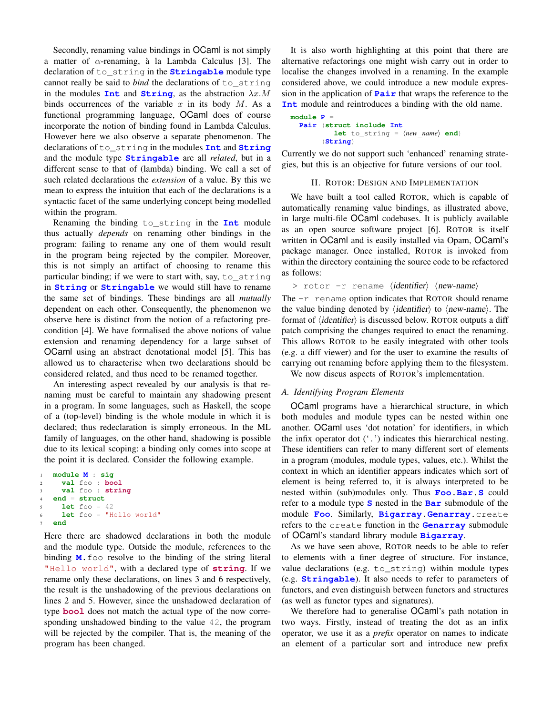Secondly, renaming value bindings in OCaml is not simply a matter of  $\alpha$ -renaming, à la Lambda Calculus [3]. The declaration of to\_string in the **Stringable** module type cannot really be said to *bind* the declarations of to\_string in the modules **Int** and **String**, as the abstraction  $\lambda x.M$ binds occurrences of the variable  $x$  in its body  $M$ . As a functional programming language, OCaml does of course incorporate the notion of binding found in Lambda Calculus. However here we also observe a separate phenomenon. The declarations of to\_string in the modules **Int** and **String** and the module type **Stringable** are all *related*, but in a different sense to that of (lambda) binding. We call a set of such related declarations the *extension* of a value. By this we mean to express the intuition that each of the declarations is a syntactic facet of the same underlying concept being modelled within the program.

Renaming the binding to\_string in the **Int** module thus actually *depends* on renaming other bindings in the program: failing to rename any one of them would result in the program being rejected by the compiler. Moreover, this is not simply an artifact of choosing to rename this particular binding; if we were to start with, say, to\_string in **String** or **Stringable** we would still have to rename the same set of bindings. These bindings are all *mutually* dependent on each other. Consequently, the phenomenon we observe here is distinct from the notion of a refactoring precondition [4]. We have formalised the above notions of value extension and renaming dependency for a large subset of OCaml using an abstract denotational model [5]. This has allowed us to characterise when two declarations should be considered related, and thus need to be renamed together.

An interesting aspect revealed by our analysis is that renaming must be careful to maintain any shadowing present in a program. In some languages, such as Haskell, the scope of a (top-level) binding is the whole module in which it is declared; thus redeclaration is simply erroneous. In the ML family of languages, on the other hand, shadowing is possible due to its lexical scoping: a binding only comes into scope at the point it is declared. Consider the following example.

```
1 module M : sig
2 val foo : bool
     3 val foo : string
   4 end = struct
     let foo = 426 let foo = "Hello world"
   7 end
```
Here there are shadowed declarations in both the module and the module type. Outside the module, references to the binding **M**. foo resolve to the binding of the string literal "Hello world", with a declared type of **string**. If we rename only these declarations, on lines 3 and 6 respectively, the result is the unshadowing of the previous declarations on lines 2 and 5. However, since the unshadowed declaration of type **bool** does not match the actual type of the now corresponding unshadowed binding to the value 42, the program will be rejected by the compiler. That is, the meaning of the program has been changed.

It is also worth highlighting at this point that there are alternative refactorings one might wish carry out in order to localise the changes involved in a renaming. In the example considered above, we could introduce a new module expression in the application of **Pair** that wraps the reference to the **Int** module and reintroduces a binding with the old name.

```
module P =
  Pair (struct include Int
            let to string = \langle new_name\rangle end)
         (String)
```
Currently we do not support such 'enhanced' renaming strategies, but this is an objective for future versions of our tool.

#### II. ROTOR: DESIGN AND IMPLEMENTATION

We have built a tool called ROTOR, which is capable of automatically renaming value bindings, as illustrated above, in large multi-file OCaml codebases. It is publicly available as an open source software project [6]. ROTOR is itself written in OCaml and is easily installed via Opam, OCaml's package manager. Once installed, ROTOR is invoked from within the directory containing the source code to be refactored as follows:

> rotor  $-r$  rename  $\langle$ *identifier* $\rangle$   $\langle$ *new-name* $\rangle$ The  $-r$  rename option indicates that ROTOR should rename the value binding denoted by  $\langle$  identifier $\rangle$  to  $\langle$  new-name $\rangle$ . The format of  $\langle$ *identifier* $\rangle$  is discussed below. ROTOR outputs a diff patch comprising the changes required to enact the renaming. This allows ROTOR to be easily integrated with other tools (e.g. a diff viewer) and for the user to examine the results of carrying out renaming before applying them to the filesystem.

We now discus aspects of ROTOR's implementation.

#### *A. Identifying Program Elements*

OCaml programs have a hierarchical structure, in which both modules and module types can be nested within one another. OCaml uses 'dot notation' for identifiers, in which the infix operator dot  $($ .') indicates this hierarchical nesting. These identifiers can refer to many different sort of elements in a program (modules, module types, values, etc.). Whilst the context in which an identifier appears indicates which sort of element is being referred to, it is always interpreted to be nested within (sub)modules only. Thus **Foo**.**Bar**.**S** could refer to a module type **S** nested in the **Bar** submodule of the module **Foo**. Similarly, **Bigarray**.**Genarray**.create refers to the create function in the **Genarray** submodule of OCaml's standard library module **Bigarray**.

As we have seen above, ROTOR needs to be able to refer to elements with a finer degree of structure. For instance, value declarations (e.g. to\_string) within module types (e.g. **Stringable**). It also needs to refer to parameters of functors, and even distinguish between functors and structures (as well as functor types and signatures).

We therefore had to generalise OCaml's path notation in two ways. Firstly, instead of treating the dot as an infix operator, we use it as a *prefix* operator on names to indicate an element of a particular sort and introduce new prefix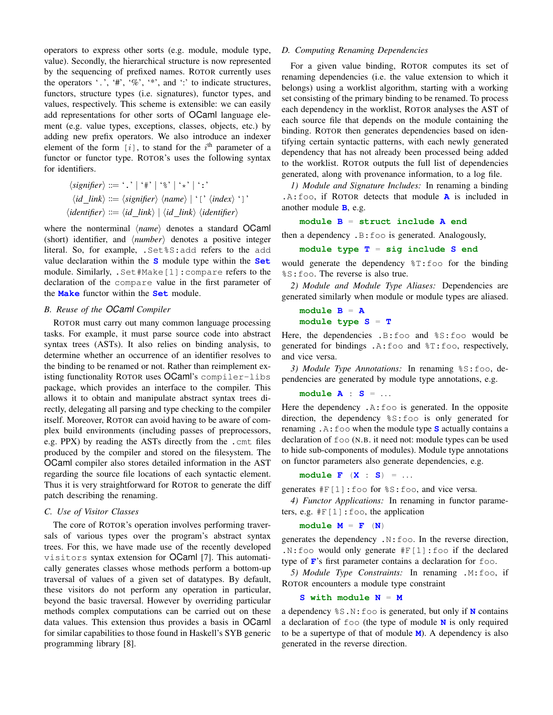operators to express other sorts (e.g. module, module type, value). Secondly, the hierarchical structure is now represented by the sequencing of prefixed names. ROTOR currently uses the operators '.', '#', '%', '\*', and ':' to indicate structures, functors, structure types (i.e. signatures), functor types, and values, respectively. This scheme is extensible: we can easily add representations for other sorts of OCaml language element (e.g. value types, exceptions, classes, objects, etc.) by adding new prefix operators. We also introduce an indexer element of the form  $[i]$ , to stand for the  $i<sup>th</sup>$  parameter of a functor or functor type. ROTOR's uses the following syntax for identifiers.

$$
\langle significant\rangle ::= `.' | '#' | '%' | '.*' | ':\\\langle id\_link \rangle ::= \langle significant\rangle \langle name \rangle | '[' \langle index \rangle ']'\langle identifier \rangle ::= \langle id\_link \rangle | \langle id\_link \rangle \langle identifier \rangle
$$

where the nonterminal  $\langle name \rangle$  denotes a standard OCaml (short) identifier, and  $\langle number \rangle$  denotes a positive integer literal. So, for example, .Set%S:add refers to the add value declaration within the **S** module type within the **Set** module. Similarly, .Set#Make[1]:compare refers to the declaration of the compare value in the first parameter of the **Make** functor within the **Set** module.

#### *B. Reuse of the OCaml Compiler*

ROTOR must carry out many common language processing tasks. For example, it must parse source code into abstract syntax trees (ASTs). It also relies on binding analysis, to determine whether an occurrence of an identifier resolves to the binding to be renamed or not. Rather than reimplement existing functionality ROTOR uses OCaml's compiler-libs package, which provides an interface to the compiler. This allows it to obtain and manipulate abstract syntax trees directly, delegating all parsing and type checking to the compiler itself. Moreover, ROTOR can avoid having to be aware of complex build environments (including passes of preprocessors, e.g. PPX) by reading the ASTs directly from the .cmt files produced by the compiler and stored on the filesystem. The OCaml compiler also stores detailed information in the AST regarding the source file locations of each syntactic element. Thus it is very straightforward for ROTOR to generate the diff patch describing the renaming.

#### *C. Use of Visitor Classes*

The core of ROTOR's operation involves performing traversals of various types over the program's abstract syntax trees. For this, we have made use of the recently developed visitors syntax extension for OCaml [7]. This automatically generates classes whose methods perform a bottom-up traversal of values of a given set of datatypes. By default, these visitors do not perform any operation in particular, beyond the basic traversal. However by overriding particular methods complex computations can be carried out on these data values. This extension thus provides a basis in OCaml for similar capabilities to those found in Haskell's SYB generic programming library [8].

#### *D. Computing Renaming Dependencies*

For a given value binding, ROTOR computes its set of renaming dependencies (i.e. the value extension to which it belongs) using a worklist algorithm, starting with a working set consisting of the primary binding to be renamed. To process each dependency in the worklist, ROTOR analyses the AST of each source file that depends on the module containing the binding. ROTOR then generates dependencies based on identifying certain syntactic patterns, with each newly generated dependency that has not already been processed being added to the worklist. ROTOR outputs the full list of dependencies generated, along with provenance information, to a log file.

*1) Module and Signature Includes:* In renaming a binding .A:foo, if ROTOR detects that module **A** is included in another module **B**, e.g.

#### **module B** = **struct include A end**

then a dependency .B:foo is generated. Analogously,

```
module type T = sig include S end
```
would generate the dependency %T:foo for the binding %S:foo. The reverse is also true.

*2) Module and Module Type Aliases:* Dependencies are generated similarly when module or module types are aliased.

```
module B = A
module type S = T
```
Here, the dependencies .B:foo and %S:foo would be generated for bindings .A:foo and %T:foo, respectively, and vice versa.

*3) Module Type Annotations:* In renaming %S:foo, dependencies are generated by module type annotations, e.g.

**module A** : **S** = . . .

Here the dependency .A:foo is generated. In the opposite direction, the dependency %S:foo is only generated for renaming .A:foo when the module type **S** actually contains a declaration of foo (N.B. it need not: module types can be used to hide sub-components of modules). Module type annotations on functor parameters also generate dependencies, e.g.

**module F** (**X** : **S**) = . . .

generates #F[1]:foo for %S:foo, and vice versa.

*4) Functor Applications:* In renaming in functor parameters, e.g.  $\#F[1]:f\circ\circ$ , the application

```
\text{module } M = \textbf{F} \quad (\textbf{N})
```
generates the dependency .N:foo. In the reverse direction, .N:foo would only generate #F[1]:foo if the declared type of **F**'s first parameter contains a declaration for foo.

*5) Module Type Constraints:* In renaming .M:foo, if ROTOR encounters a module type constraint

#### **S with module N** = **M**

a dependency %S.N:foo is generated, but only if **N** contains a declaration of foo (the type of module **N** is only required to be a supertype of that of module **M**). A dependency is also generated in the reverse direction.